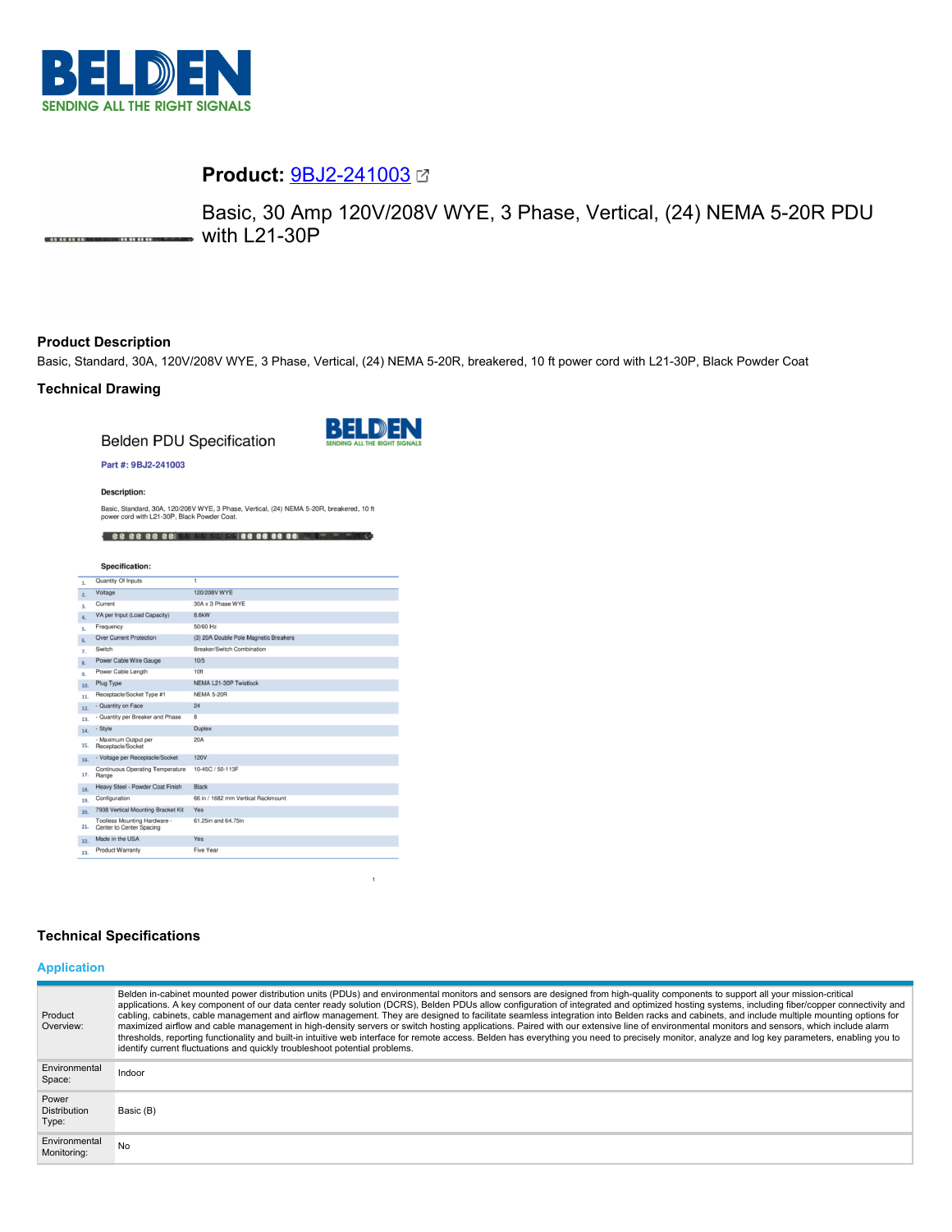

# **Product:** [9BJ2-241003](https://catalog.belden.com/index.cfm?event=pd&p=PF_9BJ2241003&tab=downloads)

Basic, 30 Amp 120V/208V WYE, 3 Phase, Vertical, (24) NEMA 5-20R PDU  $\bullet$  with L21-30P .<br>
86 66 66 66 10 11 12 13 14 66 66 66 10

### **Product Description**

Basic, Standard, 30A, 120V/208V WYE, 3 Phase, Vertical, (24) NEMA 5-20R, breakered, 10 ft power cord with L21-30P, Black Powder Coat

## **Technical Drawing**

**Belden PDU Specification** 



 $\mathbf{1}$ 

#### Part #: 9BJ2-241003

**Description:** 

Basic, Standard, 30A, 120/208V WYE, 3 Phase, Vertical, (24) NEMA 5-20R, breakered, 10 ft power cord with L21-30P, Black Powder Coat.

4 66 66 66 66 68 69 69 69 66 66 66 66 1 5 6 5 6

|     | Specification:                                           |                                       |
|-----|----------------------------------------------------------|---------------------------------------|
| 1.  | Quantity Of Inputs                                       | ī                                     |
| 2.  | Voltage                                                  | 120/208V WYE                          |
| 3.  | Current                                                  | 30A x 3 Phase WYE                     |
| 4.  | VA per Input (Load Capacity)                             | 8.6kW                                 |
| s.  | Frequency                                                | 50/60 Hz                              |
| 6.  | <b>Over Current Protection</b>                           | (3) 20A Double Pole Magnetic Breakers |
| 7.  | Switch                                                   | Breaker/Switch Combination            |
| 8.  | Power Cable Wire Gauge                                   | 10/5                                  |
| 9.  | Power Cable Length                                       | 10ft                                  |
| 10. | Plug Type                                                | NEMA L21-30P Twistlock                |
| 11. | Receptacle/Socket Type #1                                | <b>NEMA 5-20R</b>                     |
| 12. | - Quantity on Face                                       | 24                                    |
| 13. | - Quantity per Breaker and Phase                         | 8                                     |
| 14. | - Style                                                  | <b>Duplex</b>                         |
| 15. | - Maximum Output per<br>Receptacle/Socket                | 20A                                   |
| 16. | - Voltage per Receptacle/Socket                          | <b>120V</b>                           |
| 17. | Continuous Operating Temperature<br>Range                | 10-45C / 50-113F                      |
| 18. | Heavy Steel - Powder Coat Finish                         | <b>Black</b>                          |
| 19. | Configuration                                            | 66 in / 1682 mm Vertical Rackmount    |
| 20. | 7938 Vertical Mounting Bracket Kit                       | Yes                                   |
| 21. | Toolless Mounting Hardware -<br>Center to Center Spacing | 61.25in and 64.75in                   |
| 22. | Made in the USA                                          | Yes                                   |
| 23. | <b>Product Warranty</b>                                  | Five Year                             |

### **Technical Specifications**

# **Application**

| Product<br>Overview:                  | Belden in-cabinet mounted power distribution units (PDUs) and environmental monitors and sensors are designed from high-quality components to support all your mission-critical<br>applications. A key component of our data center ready solution (DCRS), Belden PDUs allow configuration of integrated and optimized hosting systems, including fiber/copper connectivity and<br>cabling, cabinets, cable management and airflow management. They are designed to facilitate seamless integration into Belden racks and cabinets, and include multiple mounting options for<br>maximized airflow and cable management in high-density servers or switch hosting applications. Paired with our extensive line of environmental monitors and sensors, which include alarm<br>thresholds, reporting functionality and built-in intuitive web interface for remote access. Belden has everything you need to precisely monitor, analyze and log key parameters, enabling you to<br>identify current fluctuations and quickly troubleshoot potential problems. |
|---------------------------------------|-------------------------------------------------------------------------------------------------------------------------------------------------------------------------------------------------------------------------------------------------------------------------------------------------------------------------------------------------------------------------------------------------------------------------------------------------------------------------------------------------------------------------------------------------------------------------------------------------------------------------------------------------------------------------------------------------------------------------------------------------------------------------------------------------------------------------------------------------------------------------------------------------------------------------------------------------------------------------------------------------------------------------------------------------------------|
| Environmental<br>Space:               | Indoor                                                                                                                                                                                                                                                                                                                                                                                                                                                                                                                                                                                                                                                                                                                                                                                                                                                                                                                                                                                                                                                      |
| Power<br><b>Distribution</b><br>Type: | Basic (B)                                                                                                                                                                                                                                                                                                                                                                                                                                                                                                                                                                                                                                                                                                                                                                                                                                                                                                                                                                                                                                                   |
| Environmental<br>Monitoring:          | No                                                                                                                                                                                                                                                                                                                                                                                                                                                                                                                                                                                                                                                                                                                                                                                                                                                                                                                                                                                                                                                          |